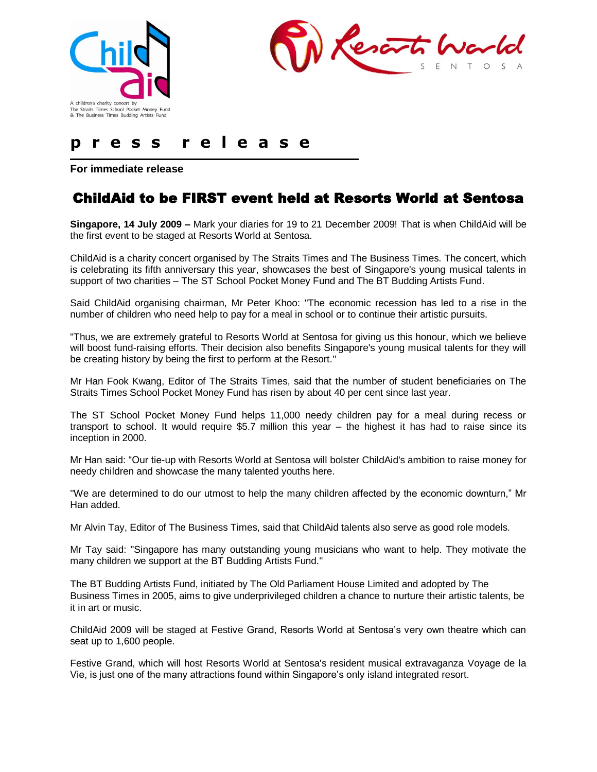



# **p r e s s r e l e a s e**

**For immediate release** 

# ChildAid to be FIRST event held at Resorts World at Sentosa

**Singapore, 14 July 2009 –** Mark your diaries for 19 to 21 December 2009! That is when ChildAid will be the first event to be staged at Resorts World at Sentosa.

ChildAid is a charity concert organised by The Straits Times and The Business Times. The concert, which is celebrating its fifth anniversary this year, showcases the best of Singapore's young musical talents in support of two charities – The ST School Pocket Money Fund and The BT Budding Artists Fund.

Said ChildAid organising chairman, Mr Peter Khoo: "The economic recession has led to a rise in the number of children who need help to pay for a meal in school or to continue their artistic pursuits.

"Thus, we are extremely grateful to Resorts World at Sentosa for giving us this honour, which we believe will boost fund-raising efforts. Their decision also benefits Singapore's young musical talents for they will be creating history by being the first to perform at the Resort.''

Mr Han Fook Kwang, Editor of The Straits Times, said that the number of student beneficiaries on The Straits Times School Pocket Money Fund has risen by about 40 per cent since last year.

The ST School Pocket Money Fund helps 11,000 needy children pay for a meal during recess or transport to school. It would require \$5.7 million this year – the highest it has had to raise since its inception in 2000.

Mr Han said: "Our tie-up with Resorts World at Sentosa will bolster ChildAid's ambition to raise money for needy children and showcase the many talented youths here.

''We are determined to do our utmost to help the many children affected by the economic downturn," Mr Han added.

Mr Alvin Tay, Editor of The Business Times, said that ChildAid talents also serve as good role models.

Mr Tay said: "Singapore has many outstanding young musicians who want to help. They motivate the many children we support at the BT Budding Artists Fund.''

The BT Budding Artists Fund, initiated by The Old Parliament House Limited and adopted by The Business Times in 2005, aims to give underprivileged children a chance to nurture their artistic talents, be it in art or music.

ChildAid 2009 will be staged at Festive Grand, Resorts World at Sentosa's very own theatre which can seat up to 1,600 people.

Festive Grand, which will host Resorts World at Sentosa's resident musical extravaganza Voyage de la Vie, is just one of the many attractions found within Singapore's only island integrated resort.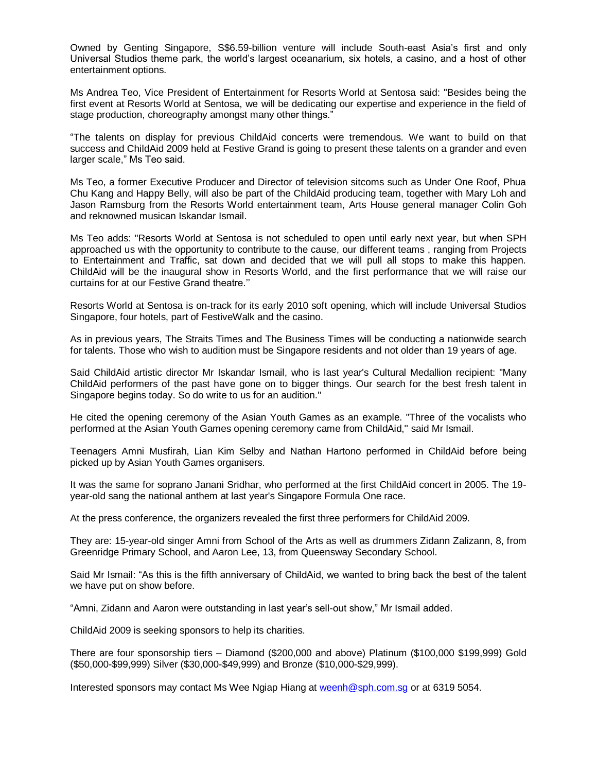Owned by Genting Singapore, S\$6.59-billion venture will include South-east Asia's first and only Universal Studios theme park, the world's largest oceanarium, six hotels, a casino, and a host of other entertainment options.

Ms Andrea Teo, Vice President of Entertainment for Resorts World at Sentosa said: "Besides being the first event at Resorts World at Sentosa, we will be dedicating our expertise and experience in the field of stage production, choreography amongst many other things."

"The talents on display for previous ChildAid concerts were tremendous. We want to build on that success and ChildAid 2009 held at Festive Grand is going to present these talents on a grander and even larger scale," Ms Teo said.

Ms Teo, a former Executive Producer and Director of television sitcoms such as Under One Roof, Phua Chu Kang and Happy Belly, will also be part of the ChildAid producing team, together with Mary Loh and Jason Ramsburg from the Resorts World entertainment team, Arts House general manager Colin Goh and reknowned musican Iskandar Ismail.

Ms Teo adds: "Resorts World at Sentosa is not scheduled to open until early next year, but when SPH approached us with the opportunity to contribute to the cause, our different teams , ranging from Projects to Entertainment and Traffic, sat down and decided that we will pull all stops to make this happen. ChildAid will be the inaugural show in Resorts World, and the first performance that we will raise our curtains for at our Festive Grand theatre.''

Resorts World at Sentosa is on-track for its early 2010 soft opening, which will include Universal Studios Singapore, four hotels, part of FestiveWalk and the casino.

As in previous years, The Straits Times and The Business Times will be conducting a nationwide search for talents. Those who wish to audition must be Singapore residents and not older than 19 years of age.

Said ChildAid artistic director Mr Iskandar Ismail, who is last year's Cultural Medallion recipient: "Many ChildAid performers of the past have gone on to bigger things. Our search for the best fresh talent in Singapore begins today. So do write to us for an audition.''

He cited the opening ceremony of the Asian Youth Games as an example. "Three of the vocalists who performed at the Asian Youth Games opening ceremony came from ChildAid,'' said Mr Ismail.

Teenagers Amni Musfirah, Lian Kim Selby and Nathan Hartono performed in ChildAid before being picked up by Asian Youth Games organisers.

It was the same for soprano Janani Sridhar, who performed at the first ChildAid concert in 2005. The 19 year-old sang the national anthem at last year's Singapore Formula One race.

At the press conference, the organizers revealed the first three performers for ChildAid 2009.

They are: 15-year-old singer Amni from School of the Arts as well as drummers Zidann Zalizann, 8, from Greenridge Primary School, and Aaron Lee, 13, from Queensway Secondary School.

Said Mr Ismail: "As this is the fifth anniversary of ChildAid, we wanted to bring back the best of the talent we have put on show before.

"Amni, Zidann and Aaron were outstanding in last year's sell-out show," Mr Ismail added.

ChildAid 2009 is seeking sponsors to help its charities.

There are four sponsorship tiers – Diamond (\$200,000 and above) Platinum (\$100,000 \$199,999) Gold (\$50,000-\$99,999) Silver (\$30,000-\$49,999) and Bronze (\$10,000-\$29,999).

Interested sponsors may contact Ms Wee Ngiap Hiang at weenh@sph.com.sg or at 6319 5054.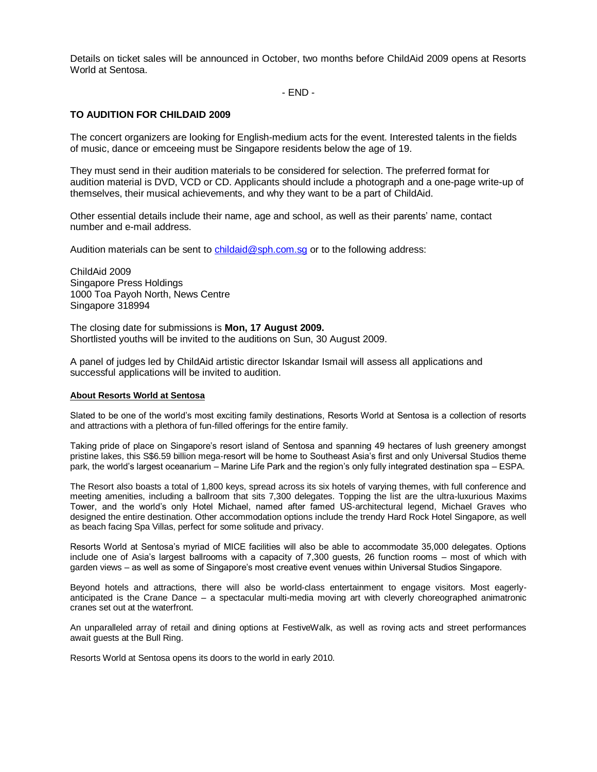Details on ticket sales will be announced in October, two months before ChildAid 2009 opens at Resorts World at Sentosa.

- END -

## **TO AUDITION FOR CHILDAID 2009**

The concert organizers are looking for English-medium acts for the event. Interested talents in the fields of music, dance or emceeing must be Singapore residents below the age of 19.

They must send in their audition materials to be considered for selection. The preferred format for audition material is DVD, VCD or CD. Applicants should include a photograph and a one-page write-up of themselves, their musical achievements, and why they want to be a part of ChildAid.

Other essential details include their name, age and school, as well as their parents' name, contact number and e-mail address.

Audition materials can be sent to [childaid@sph.com.sg](mailto:childaid@sph.com.sg) or to the following address:

ChildAid 2009 Singapore Press Holdings 1000 Toa Payoh North, News Centre Singapore 318994

The closing date for submissions is **Mon, 17 August 2009.** Shortlisted youths will be invited to the auditions on Sun, 30 August 2009.

A panel of judges led by ChildAid artistic director Iskandar Ismail will assess all applications and successful applications will be invited to audition.

#### **About Resorts World at Sentosa**

Slated to be one of the world's most exciting family destinations, Resorts World at Sentosa is a collection of resorts and attractions with a plethora of fun-filled offerings for the entire family.

Taking pride of place on Singapore's resort island of Sentosa and spanning 49 hectares of lush greenery amongst pristine lakes, this S\$6.59 billion mega-resort will be home to Southeast Asia's first and only Universal Studios theme park, the world's largest oceanarium – Marine Life Park and the region's only fully integrated destination spa – ESPA.

The Resort also boasts a total of 1,800 keys, spread across its six hotels of varying themes, with full conference and meeting amenities, including a ballroom that sits 7,300 delegates. Topping the list are the ultra-luxurious Maxims Tower, and the world's only Hotel Michael, named after famed US-architectural legend, Michael Graves who designed the entire destination. Other accommodation options include the trendy Hard Rock Hotel Singapore, as well as beach facing Spa Villas, perfect for some solitude and privacy.

Resorts World at Sentosa's myriad of MICE facilities will also be able to accommodate 35,000 delegates. Options include one of Asia's largest ballrooms with a capacity of 7,300 guests, 26 function rooms – most of which with garden views – as well as some of Singapore's most creative event venues within Universal Studios Singapore.

Beyond hotels and attractions, there will also be world-class entertainment to engage visitors. Most eagerlyanticipated is the Crane Dance – a spectacular multi-media moving art with cleverly choreographed animatronic cranes set out at the waterfront.

An unparalleled array of retail and dining options at FestiveWalk, as well as roving acts and street performances await guests at the Bull Ring.

Resorts World at Sentosa opens its doors to the world in early 2010.